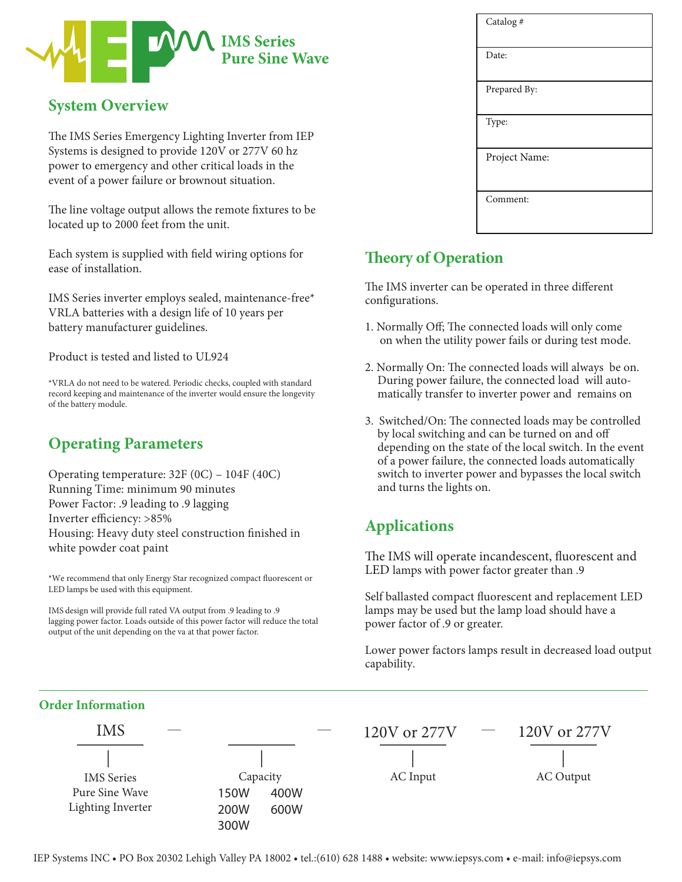

## **System Overview**

The IMS Series Emergency Lighting Inverter from IEP Systems is designed to provide 120V or 277V 60 hz power to emergency and other critical loads in the event of a power failure or brownout situation.

The line voltage output allows the remote fixtures to be located up to 2000 feet from the unit.

Each system is supplied with field wiring options for ease of installation.

IMS Series inverter employs sealed, maintenance-free\* VRLA batteries with a design life of 10 years per battery manufacturer guidelines.

Product is tested and listed to UL924

\*VRLA do not need to be watered. Periodic checks, coupled with standard record keeping and maintenance of the inverter would ensure the longevity of the battery module.

# **Operating Parameters**

Operating temperature: 32F (0C) – 104F (40C) Running Time: minimum 90 minutes Power Factor: .9 leading to .9 lagging Inverter efficiency: >85% Housing: Heavy duty steel construction finished in white powder coat paint

\*We recommend that only Energy Star recognized compact fluorescent or LED lamps be used with this equipment.

IMS design will provide full rated VA output from .9 leading to .9 lagging power factor. Loads outside of this power factor will reduce the total output of the unit depending on the va at that power factor.

### **Theory of Operation**

The IMS inverter can be operated in three different configurations.

- 1. Normally Off; The connected loads will only come on when the utility power fails or during test mode.
- 2. Normally On: The connected loads will always be on. During power failure, the connected load will automatically transfer to inverter power and remains on
- 3. Switched/On: The connected loads may be controlled by local switching and can be turned on and o depending on the state of the local switch. In the event of a power failure, the connected loads automatically switch to inverter power and bypasses the local switch and turns the lights on.

# **Applications**

The IMS will operate incandescent, fluorescent and LED lamps with power factor greater than .9

Self ballasted compact fluorescent and replacement LED lamps may be used but the lamp load should have a power factor of .9 or greater.

Lower power factors lamps result in decreased load output capability.

### **Order Information**